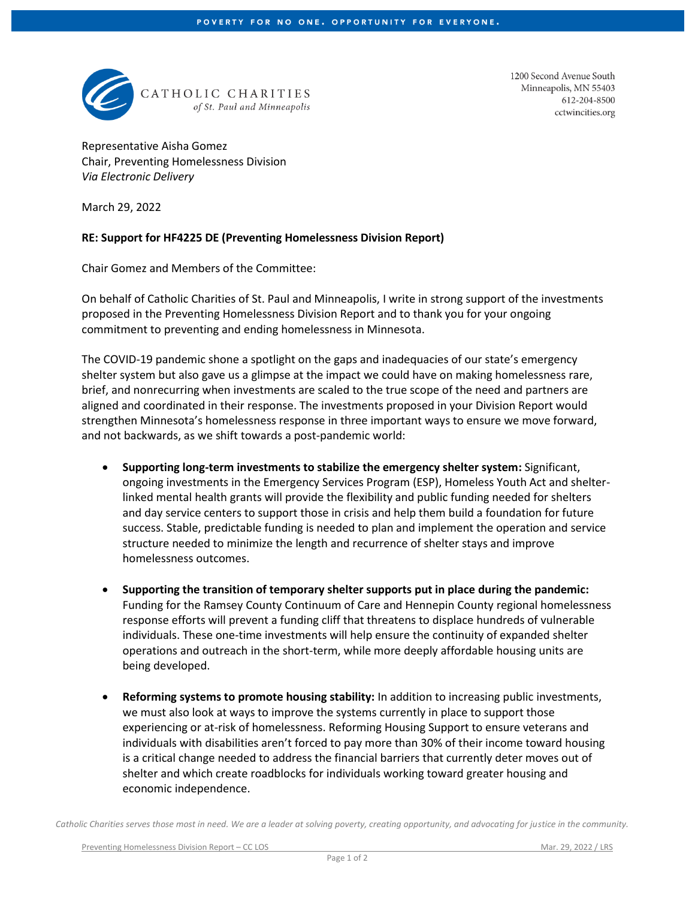

1200 Second Avenue South Minneapolis, MN 55403 612-204-8500 cctwincities.org

Representative Aisha Gomez Chair, Preventing Homelessness Division *Via Electronic Delivery*

March 29, 2022

## **RE: Support for HF4225 DE (Preventing Homelessness Division Report)**

Chair Gomez and Members of the Committee:

On behalf of Catholic Charities of St. Paul and Minneapolis, I write in strong support of the investments proposed in the Preventing Homelessness Division Report and to thank you for your ongoing commitment to preventing and ending homelessness in Minnesota.

The COVID-19 pandemic shone a spotlight on the gaps and inadequacies of our state's emergency shelter system but also gave us a glimpse at the impact we could have on making homelessness rare, brief, and nonrecurring when investments are scaled to the true scope of the need and partners are aligned and coordinated in their response. The investments proposed in your Division Report would strengthen Minnesota's homelessness response in three important ways to ensure we move forward, and not backwards, as we shift towards a post-pandemic world:

- **Supporting long-term investments to stabilize the emergency shelter system:** Significant, ongoing investments in the Emergency Services Program (ESP), Homeless Youth Act and shelterlinked mental health grants will provide the flexibility and public funding needed for shelters and day service centers to support those in crisis and help them build a foundation for future success. Stable, predictable funding is needed to plan and implement the operation and service structure needed to minimize the length and recurrence of shelter stays and improve homelessness outcomes.
- **Supporting the transition of temporary shelter supports put in place during the pandemic:** Funding for the Ramsey County Continuum of Care and Hennepin County regional homelessness response efforts will prevent a funding cliff that threatens to displace hundreds of vulnerable individuals. These one-time investments will help ensure the continuity of expanded shelter operations and outreach in the short-term, while more deeply affordable housing units are being developed.
- **Reforming systems to promote housing stability:** In addition to increasing public investments, we must also look at ways to improve the systems currently in place to support those experiencing or at-risk of homelessness. Reforming Housing Support to ensure veterans and individuals with disabilities aren't forced to pay more than 30% of their income toward housing is a critical change needed to address the financial barriers that currently deter moves out of shelter and which create roadblocks for individuals working toward greater housing and economic independence.

*Catholic Charities serves those most in need. We are a leader at solving poverty, creating opportunity, and advocating for justice in the community.*